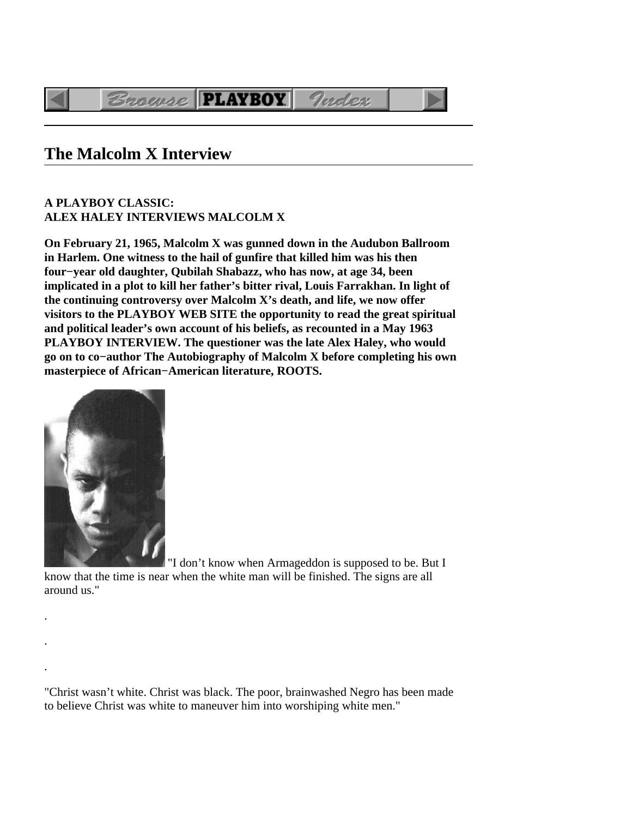# **The Malcolm X Interview**

## **A PLAYBOY CLASSIC: ALEX HALEY INTERVIEWS MALCOLM X**

**On February 21, 1965, Malcolm X was gunned down in the Audubon Ballroom in Harlem. One witness to the hail of gunfire that killed him was his then four−year old daughter, Qubilah Shabazz, who has now, at age 34, been implicated in a plot to kill her father's bitter rival, Louis Farrakhan. In light of the continuing controversy over Malcolm X's death, and life, we now offer visitors to the PLAYBOY WEB SITE the opportunity to read the great spiritual and political leader's own account of his beliefs, as recounted in a May 1963 PLAYBOY INTERVIEW. The questioner was the late Alex Haley, who would go on to co−author The Autobiography of Malcolm X before completing his own masterpiece of African−American literature, ROOTS.** 

Browse PLAYBOY Index



.

.

.

 "I don't know when Armageddon is supposed to be. But I know that the time is near when the white man will be finished. The signs are all around us."

"Christ wasn't white. Christ was black. The poor, brainwashed Negro has been made to believe Christ was white to maneuver him into worshiping white men."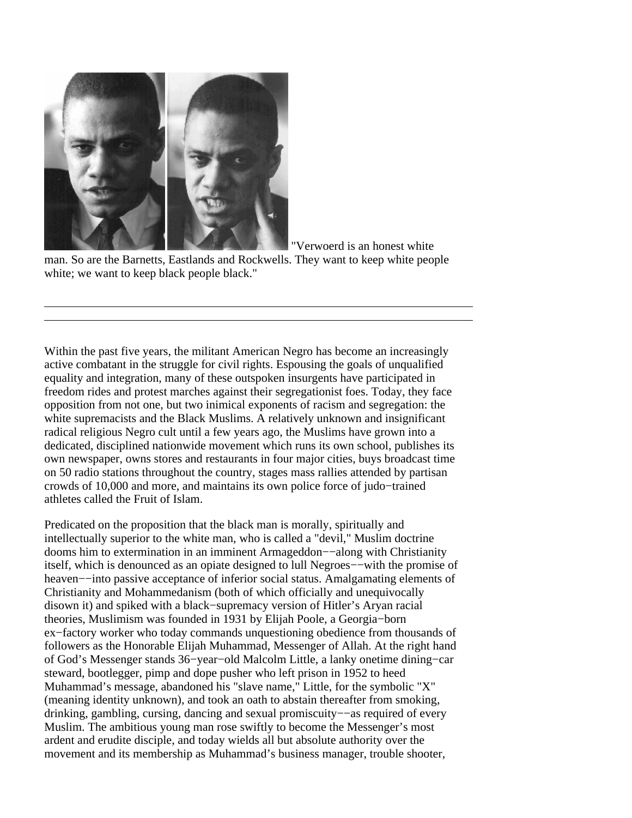

"Verwoerd is an honest white

man. So are the Barnetts, Eastlands and Rockwells. They want to keep white people white; we want to keep black people black."

Within the past five years, the militant American Negro has become an increasingly active combatant in the struggle for civil rights. Espousing the goals of unqualified equality and integration, many of these outspoken insurgents have participated in freedom rides and protest marches against their segregationist foes. Today, they face opposition from not one, but two inimical exponents of racism and segregation: the white supremacists and the Black Muslims. A relatively unknown and insignificant radical religious Negro cult until a few years ago, the Muslims have grown into a dedicated, disciplined nationwide movement which runs its own school, publishes its own newspaper, owns stores and restaurants in four major cities, buys broadcast time on 50 radio stations throughout the country, stages mass rallies attended by partisan crowds of 10,000 and more, and maintains its own police force of judo−trained athletes called the Fruit of Islam.

Predicated on the proposition that the black man is morally, spiritually and intellectually superior to the white man, who is called a "devil," Muslim doctrine dooms him to extermination in an imminent Armageddon−−along with Christianity itself, which is denounced as an opiate designed to lull Negroes−−with the promise of heaven−−into passive acceptance of inferior social status. Amalgamating elements of Christianity and Mohammedanism (both of which officially and unequivocally disown it) and spiked with a black−supremacy version of Hitler's Aryan racial theories, Muslimism was founded in 1931 by Elijah Poole, a Georgia−born ex−factory worker who today commands unquestioning obedience from thousands of followers as the Honorable Elijah Muhammad, Messenger of Allah. At the right hand of God's Messenger stands 36−year−old Malcolm Little, a lanky onetime dining−car steward, bootlegger, pimp and dope pusher who left prison in 1952 to heed Muhammad's message, abandoned his "slave name," Little, for the symbolic "X" (meaning identity unknown), and took an oath to abstain thereafter from smoking, drinking, gambling, cursing, dancing and sexual promiscuity−−as required of every Muslim. The ambitious young man rose swiftly to become the Messenger's most ardent and erudite disciple, and today wields all but absolute authority over the movement and its membership as Muhammad's business manager, trouble shooter,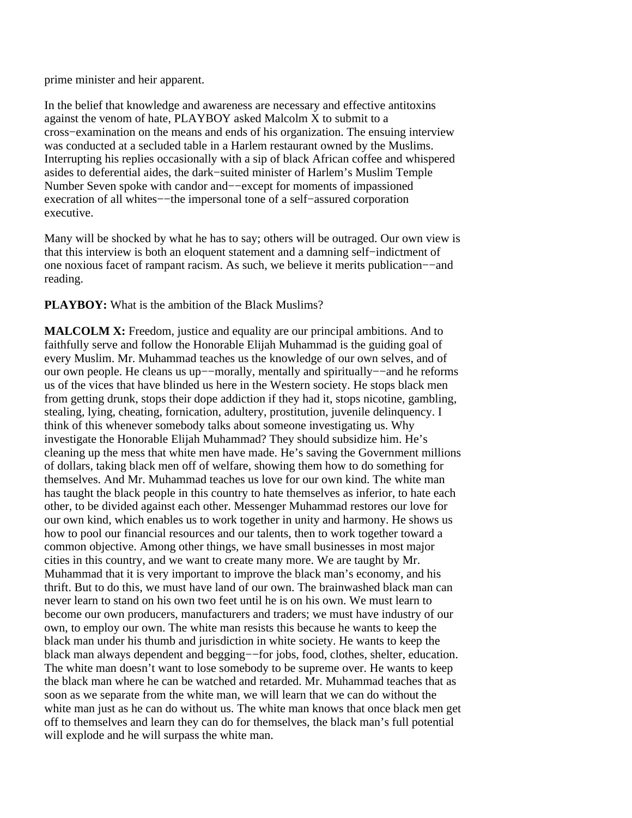prime minister and heir apparent.

In the belief that knowledge and awareness are necessary and effective antitoxins against the venom of hate, PLAYBOY asked Malcolm X to submit to a cross−examination on the means and ends of his organization. The ensuing interview was conducted at a secluded table in a Harlem restaurant owned by the Muslims. Interrupting his replies occasionally with a sip of black African coffee and whispered asides to deferential aides, the dark−suited minister of Harlem's Muslim Temple Number Seven spoke with candor and−−except for moments of impassioned execration of all whites−−the impersonal tone of a self−assured corporation executive.

Many will be shocked by what he has to say; others will be outraged. Our own view is that this interview is both an eloquent statement and a damning self−indictment of one noxious facet of rampant racism. As such, we believe it merits publication−−and reading.

**PLAYBOY:** What is the ambition of the Black Muslims?

**MALCOLM X:** Freedom, justice and equality are our principal ambitions. And to faithfully serve and follow the Honorable Elijah Muhammad is the guiding goal of every Muslim. Mr. Muhammad teaches us the knowledge of our own selves, and of our own people. He cleans us up−−morally, mentally and spiritually−−and he reforms us of the vices that have blinded us here in the Western society. He stops black men from getting drunk, stops their dope addiction if they had it, stops nicotine, gambling, stealing, lying, cheating, fornication, adultery, prostitution, juvenile delinquency. I think of this whenever somebody talks about someone investigating us. Why investigate the Honorable Elijah Muhammad? They should subsidize him. He's cleaning up the mess that white men have made. He's saving the Government millions of dollars, taking black men off of welfare, showing them how to do something for themselves. And Mr. Muhammad teaches us love for our own kind. The white man has taught the black people in this country to hate themselves as inferior, to hate each other, to be divided against each other. Messenger Muhammad restores our love for our own kind, which enables us to work together in unity and harmony. He shows us how to pool our financial resources and our talents, then to work together toward a common objective. Among other things, we have small businesses in most major cities in this country, and we want to create many more. We are taught by Mr. Muhammad that it is very important to improve the black man's economy, and his thrift. But to do this, we must have land of our own. The brainwashed black man can never learn to stand on his own two feet until he is on his own. We must learn to become our own producers, manufacturers and traders; we must have industry of our own, to employ our own. The white man resists this because he wants to keep the black man under his thumb and jurisdiction in white society. He wants to keep the black man always dependent and begging−−for jobs, food, clothes, shelter, education. The white man doesn't want to lose somebody to be supreme over. He wants to keep the black man where he can be watched and retarded. Mr. Muhammad teaches that as soon as we separate from the white man, we will learn that we can do without the white man just as he can do without us. The white man knows that once black men get off to themselves and learn they can do for themselves, the black man's full potential will explode and he will surpass the white man.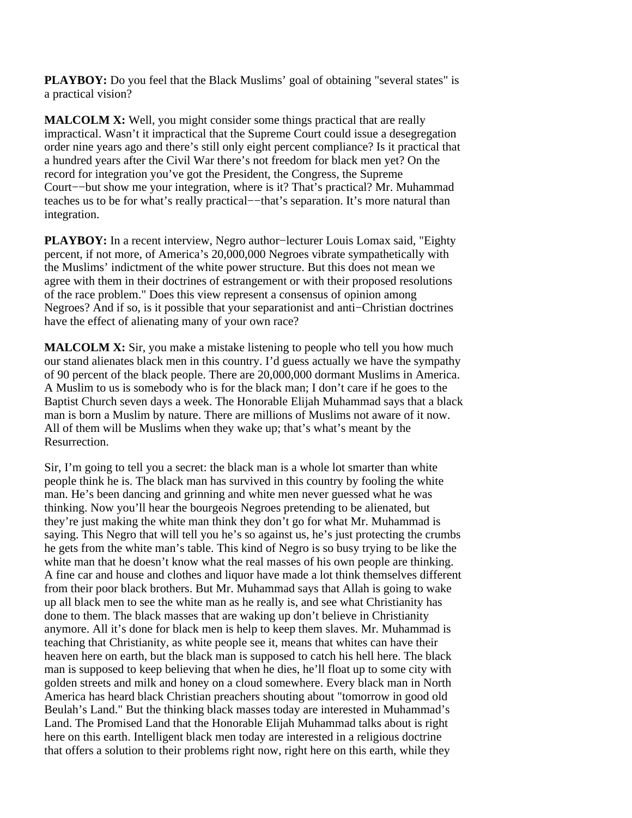**PLAYBOY:** Do you feel that the Black Muslims' goal of obtaining "several states" is a practical vision?

**MALCOLM X:** Well, you might consider some things practical that are really impractical. Wasn't it impractical that the Supreme Court could issue a desegregation order nine years ago and there's still only eight percent compliance? Is it practical that a hundred years after the Civil War there's not freedom for black men yet? On the record for integration you've got the President, the Congress, the Supreme Court−−but show me your integration, where is it? That's practical? Mr. Muhammad teaches us to be for what's really practical−−that's separation. It's more natural than integration.

**PLAYBOY:** In a recent interview, Negro author−lecturer Louis Lomax said, "Eighty percent, if not more, of America's 20,000,000 Negroes vibrate sympathetically with the Muslims' indictment of the white power structure. But this does not mean we agree with them in their doctrines of estrangement or with their proposed resolutions of the race problem." Does this view represent a consensus of opinion among Negroes? And if so, is it possible that your separationist and anti−Christian doctrines have the effect of alienating many of your own race?

**MALCOLM X:** Sir, you make a mistake listening to people who tell you how much our stand alienates black men in this country. I'd guess actually we have the sympathy of 90 percent of the black people. There are 20,000,000 dormant Muslims in America. A Muslim to us is somebody who is for the black man; I don't care if he goes to the Baptist Church seven days a week. The Honorable Elijah Muhammad says that a black man is born a Muslim by nature. There are millions of Muslims not aware of it now. All of them will be Muslims when they wake up; that's what's meant by the Resurrection.

Sir, I'm going to tell you a secret: the black man is a whole lot smarter than white people think he is. The black man has survived in this country by fooling the white man. He's been dancing and grinning and white men never guessed what he was thinking. Now you'll hear the bourgeois Negroes pretending to be alienated, but they're just making the white man think they don't go for what Mr. Muhammad is saying. This Negro that will tell you he's so against us, he's just protecting the crumbs he gets from the white man's table. This kind of Negro is so busy trying to be like the white man that he doesn't know what the real masses of his own people are thinking. A fine car and house and clothes and liquor have made a lot think themselves different from their poor black brothers. But Mr. Muhammad says that Allah is going to wake up all black men to see the white man as he really is, and see what Christianity has done to them. The black masses that are waking up don't believe in Christianity anymore. All it's done for black men is help to keep them slaves. Mr. Muhammad is teaching that Christianity, as white people see it, means that whites can have their heaven here on earth, but the black man is supposed to catch his hell here. The black man is supposed to keep believing that when he dies, he'll float up to some city with golden streets and milk and honey on a cloud somewhere. Every black man in North America has heard black Christian preachers shouting about "tomorrow in good old Beulah's Land." But the thinking black masses today are interested in Muhammad's Land. The Promised Land that the Honorable Elijah Muhammad talks about is right here on this earth. Intelligent black men today are interested in a religious doctrine that offers a solution to their problems right now, right here on this earth, while they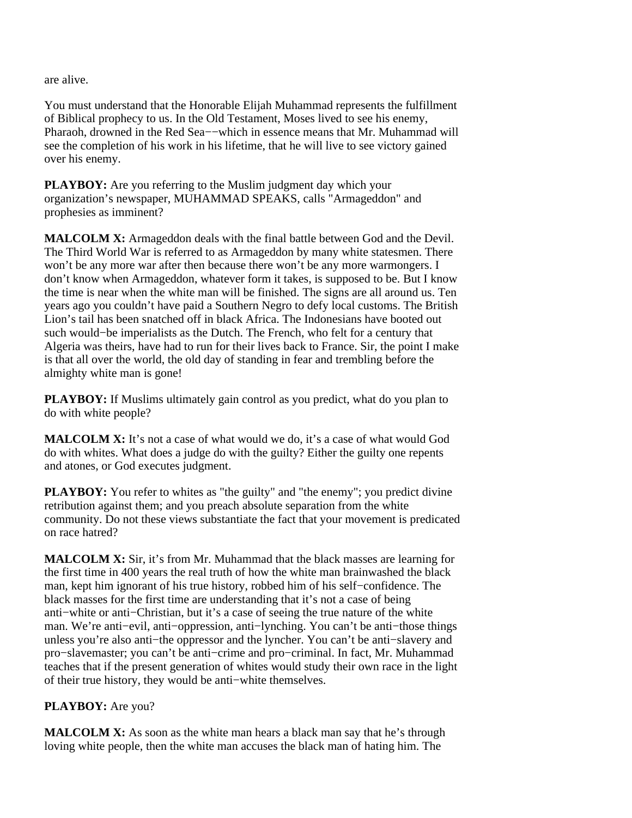are alive.

You must understand that the Honorable Elijah Muhammad represents the fulfillment of Biblical prophecy to us. In the Old Testament, Moses lived to see his enemy, Pharaoh, drowned in the Red Sea−−which in essence means that Mr. Muhammad will see the completion of his work in his lifetime, that he will live to see victory gained over his enemy.

**PLAYBOY:** Are you referring to the Muslim judgment day which your organization's newspaper, MUHAMMAD SPEAKS, calls "Armageddon" and prophesies as imminent?

**MALCOLM X:** Armageddon deals with the final battle between God and the Devil. The Third World War is referred to as Armageddon by many white statesmen. There won't be any more war after then because there won't be any more warmongers. I don't know when Armageddon, whatever form it takes, is supposed to be. But I know the time is near when the white man will be finished. The signs are all around us. Ten years ago you couldn't have paid a Southern Negro to defy local customs. The British Lion's tail has been snatched off in black Africa. The Indonesians have booted out such would−be imperialists as the Dutch. The French, who felt for a century that Algeria was theirs, have had to run for their lives back to France. Sir, the point I make is that all over the world, the old day of standing in fear and trembling before the almighty white man is gone!

**PLAYBOY:** If Muslims ultimately gain control as you predict, what do you plan to do with white people?

**MALCOLM X:** It's not a case of what would we do, it's a case of what would God do with whites. What does a judge do with the guilty? Either the guilty one repents and atones, or God executes judgment.

**PLAYBOY:** You refer to whites as "the guilty" and "the enemy"; you predict divine retribution against them; and you preach absolute separation from the white community. Do not these views substantiate the fact that your movement is predicated on race hatred?

**MALCOLM X:** Sir, it's from Mr. Muhammad that the black masses are learning for the first time in 400 years the real truth of how the white man brainwashed the black man, kept him ignorant of his true history, robbed him of his self−confidence. The black masses for the first time are understanding that it's not a case of being anti−white or anti−Christian, but it's a case of seeing the true nature of the white man. We're anti−evil, anti−oppression, anti−lynching. You can't be anti−those things unless you're also anti−the oppressor and the lyncher. You can't be anti−slavery and pro−slavemaster; you can't be anti−crime and pro−criminal. In fact, Mr. Muhammad teaches that if the present generation of whites would study their own race in the light of their true history, they would be anti−white themselves.

## **PLAYBOY:** Are you?

**MALCOLM X:** As soon as the white man hears a black man say that he's through loving white people, then the white man accuses the black man of hating him. The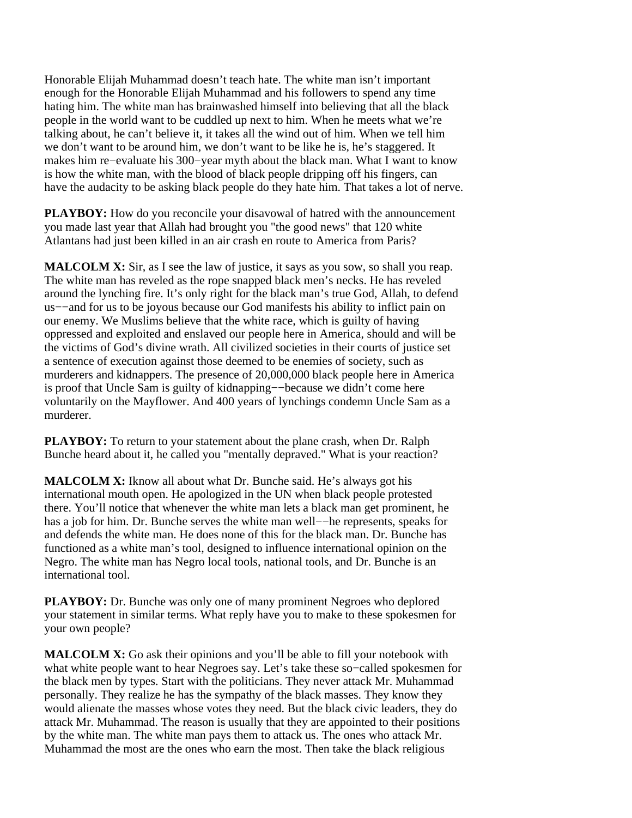Honorable Elijah Muhammad doesn't teach hate. The white man isn't important enough for the Honorable Elijah Muhammad and his followers to spend any time hating him. The white man has brainwashed himself into believing that all the black people in the world want to be cuddled up next to him. When he meets what we're talking about, he can't believe it, it takes all the wind out of him. When we tell him we don't want to be around him, we don't want to be like he is, he's staggered. It makes him re−evaluate his 300−year myth about the black man. What I want to know is how the white man, with the blood of black people dripping off his fingers, can have the audacity to be asking black people do they hate him. That takes a lot of nerve.

**PLAYBOY:** How do you reconcile your disavowal of hatred with the announcement you made last year that Allah had brought you "the good news" that 120 white Atlantans had just been killed in an air crash en route to America from Paris?

**MALCOLM X:** Sir, as I see the law of justice, it says as you sow, so shall you reap. The white man has reveled as the rope snapped black men's necks. He has reveled around the lynching fire. It's only right for the black man's true God, Allah, to defend us−−and for us to be joyous because our God manifests his ability to inflict pain on our enemy. We Muslims believe that the white race, which is guilty of having oppressed and exploited and enslaved our people here in America, should and will be the victims of God's divine wrath. All civilized societies in their courts of justice set a sentence of execution against those deemed to be enemies of society, such as murderers and kidnappers. The presence of 20,000,000 black people here in America is proof that Uncle Sam is guilty of kidnapping−−because we didn't come here voluntarily on the Mayflower. And 400 years of lynchings condemn Uncle Sam as a murderer.

**PLAYBOY:** To return to your statement about the plane crash, when Dr. Ralph Bunche heard about it, he called you "mentally depraved." What is your reaction?

**MALCOLM X:** Iknow all about what Dr. Bunche said. He's always got his international mouth open. He apologized in the UN when black people protested there. You'll notice that whenever the white man lets a black man get prominent, he has a job for him. Dr. Bunche serves the white man well−−he represents, speaks for and defends the white man. He does none of this for the black man. Dr. Bunche has functioned as a white man's tool, designed to influence international opinion on the Negro. The white man has Negro local tools, national tools, and Dr. Bunche is an international tool.

**PLAYBOY:** Dr. Bunche was only one of many prominent Negroes who deplored your statement in similar terms. What reply have you to make to these spokesmen for your own people?

**MALCOLM X:** Go ask their opinions and you'll be able to fill your notebook with what white people want to hear Negroes say. Let's take these so−called spokesmen for the black men by types. Start with the politicians. They never attack Mr. Muhammad personally. They realize he has the sympathy of the black masses. They know they would alienate the masses whose votes they need. But the black civic leaders, they do attack Mr. Muhammad. The reason is usually that they are appointed to their positions by the white man. The white man pays them to attack us. The ones who attack Mr. Muhammad the most are the ones who earn the most. Then take the black religious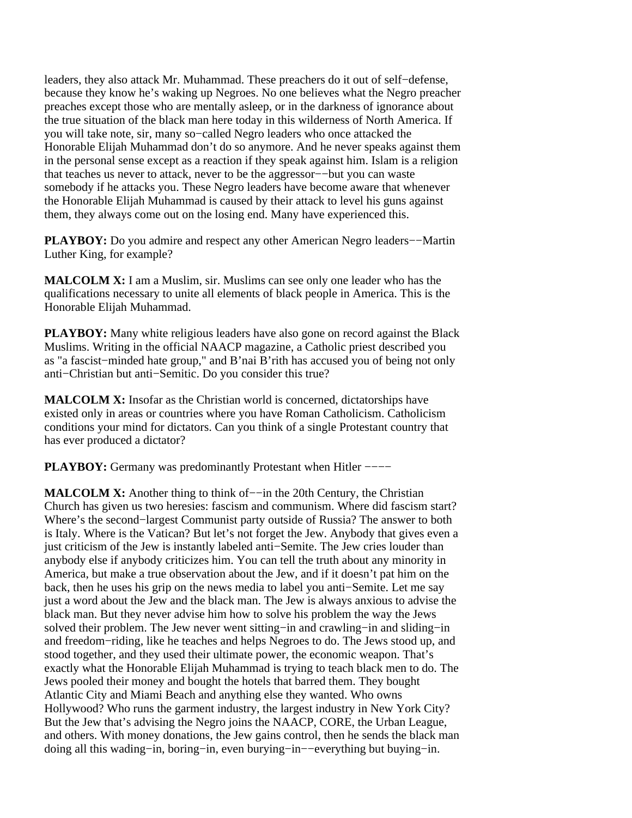leaders, they also attack Mr. Muhammad. These preachers do it out of self−defense, because they know he's waking up Negroes. No one believes what the Negro preacher preaches except those who are mentally asleep, or in the darkness of ignorance about the true situation of the black man here today in this wilderness of North America. If you will take note, sir, many so−called Negro leaders who once attacked the Honorable Elijah Muhammad don't do so anymore. And he never speaks against them in the personal sense except as a reaction if they speak against him. Islam is a religion that teaches us never to attack, never to be the aggressor−−but you can waste somebody if he attacks you. These Negro leaders have become aware that whenever the Honorable Elijah Muhammad is caused by their attack to level his guns against them, they always come out on the losing end. Many have experienced this.

**PLAYBOY:** Do you admire and respect any other American Negro leaders−−Martin Luther King, for example?

**MALCOLM X:** I am a Muslim, sir. Muslims can see only one leader who has the qualifications necessary to unite all elements of black people in America. This is the Honorable Elijah Muhammad.

**PLAYBOY:** Many white religious leaders have also gone on record against the Black Muslims. Writing in the official NAACP magazine, a Catholic priest described you as "a fascist−minded hate group," and B'nai B'rith has accused you of being not only anti−Christian but anti−Semitic. Do you consider this true?

**MALCOLM X:** Insofar as the Christian world is concerned, dictatorships have existed only in areas or countries where you have Roman Catholicism. Catholicism conditions your mind for dictators. Can you think of a single Protestant country that has ever produced a dictator?

**PLAYBOY:** Germany was predominantly Protestant when Hitler  $---$ 

**MALCOLM X:** Another thing to think of-−in the 20th Century, the Christian Church has given us two heresies: fascism and communism. Where did fascism start? Where's the second−largest Communist party outside of Russia? The answer to both is Italy. Where is the Vatican? But let's not forget the Jew. Anybody that gives even a just criticism of the Jew is instantly labeled anti−Semite. The Jew cries louder than anybody else if anybody criticizes him. You can tell the truth about any minority in America, but make a true observation about the Jew, and if it doesn't pat him on the back, then he uses his grip on the news media to label you anti−Semite. Let me say just a word about the Jew and the black man. The Jew is always anxious to advise the black man. But they never advise him how to solve his problem the way the Jews solved their problem. The Jew never went sitting−in and crawling−in and sliding−in and freedom−riding, like he teaches and helps Negroes to do. The Jews stood up, and stood together, and they used their ultimate power, the economic weapon. That's exactly what the Honorable Elijah Muhammad is trying to teach black men to do. The Jews pooled their money and bought the hotels that barred them. They bought Atlantic City and Miami Beach and anything else they wanted. Who owns Hollywood? Who runs the garment industry, the largest industry in New York City? But the Jew that's advising the Negro joins the NAACP, CORE, the Urban League, and others. With money donations, the Jew gains control, then he sends the black man doing all this wading−in, boring−in, even burying−in−−everything but buying−in.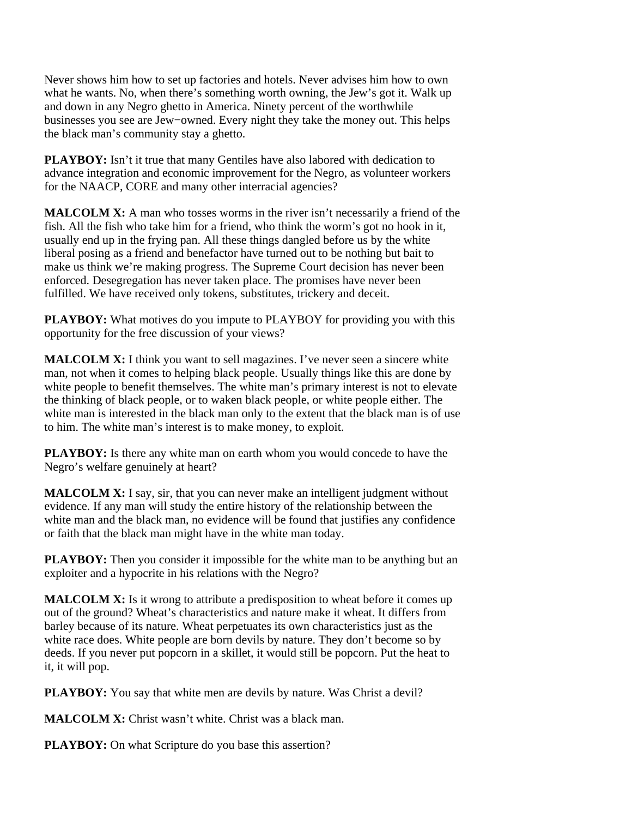Never shows him how to set up factories and hotels. Never advises him how to own what he wants. No, when there's something worth owning, the Jew's got it. Walk up and down in any Negro ghetto in America. Ninety percent of the worthwhile businesses you see are Jew−owned. Every night they take the money out. This helps the black man's community stay a ghetto.

**PLAYBOY:** Isn't it true that many Gentiles have also labored with dedication to advance integration and economic improvement for the Negro, as volunteer workers for the NAACP, CORE and many other interracial agencies?

**MALCOLM X:** A man who tosses worms in the river isn't necessarily a friend of the fish. All the fish who take him for a friend, who think the worm's got no hook in it, usually end up in the frying pan. All these things dangled before us by the white liberal posing as a friend and benefactor have turned out to be nothing but bait to make us think we're making progress. The Supreme Court decision has never been enforced. Desegregation has never taken place. The promises have never been fulfilled. We have received only tokens, substitutes, trickery and deceit.

**PLAYBOY:** What motives do you impute to PLAYBOY for providing you with this opportunity for the free discussion of your views?

**MALCOLM X:** I think you want to sell magazines. I've never seen a sincere white man, not when it comes to helping black people. Usually things like this are done by white people to benefit themselves. The white man's primary interest is not to elevate the thinking of black people, or to waken black people, or white people either. The white man is interested in the black man only to the extent that the black man is of use to him. The white man's interest is to make money, to exploit.

**PLAYBOY:** Is there any white man on earth whom you would concede to have the Negro's welfare genuinely at heart?

**MALCOLM X:** I say, sir, that you can never make an intelligent judgment without evidence. If any man will study the entire history of the relationship between the white man and the black man, no evidence will be found that justifies any confidence or faith that the black man might have in the white man today.

**PLAYBOY:** Then you consider it impossible for the white man to be anything but an exploiter and a hypocrite in his relations with the Negro?

**MALCOLM X:** Is it wrong to attribute a predisposition to wheat before it comes up out of the ground? Wheat's characteristics and nature make it wheat. It differs from barley because of its nature. Wheat perpetuates its own characteristics just as the white race does. White people are born devils by nature. They don't become so by deeds. If you never put popcorn in a skillet, it would still be popcorn. Put the heat to it, it will pop.

**PLAYBOY:** You say that white men are devils by nature. Was Christ a devil?

**MALCOLM X:** Christ wasn't white. Christ was a black man.

**PLAYBOY:** On what Scripture do you base this assertion?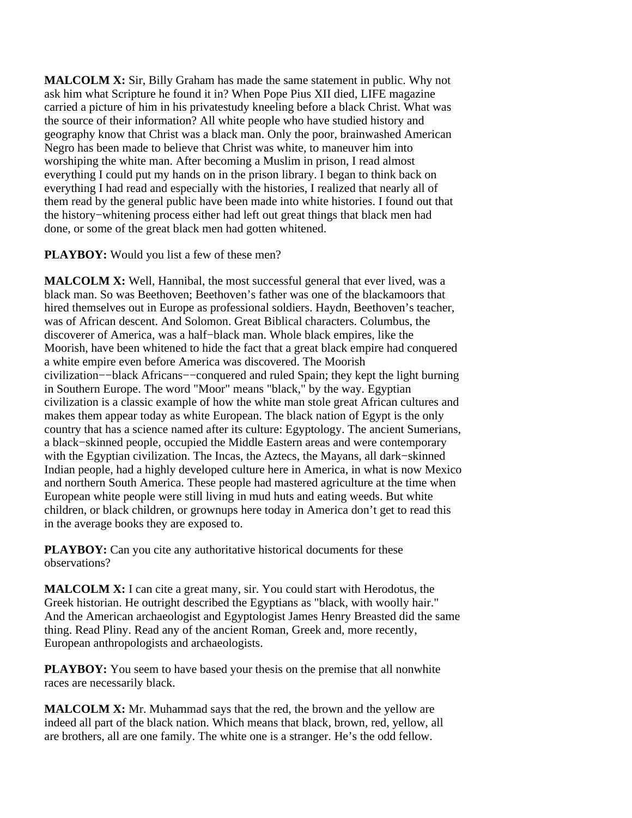**MALCOLM X:** Sir, Billy Graham has made the same statement in public. Why not ask him what Scripture he found it in? When Pope Pius XII died, LIFE magazine carried a picture of him in his privatestudy kneeling before a black Christ. What was the source of their information? All white people who have studied history and geography know that Christ was a black man. Only the poor, brainwashed American Negro has been made to believe that Christ was white, to maneuver him into worshiping the white man. After becoming a Muslim in prison, I read almost everything I could put my hands on in the prison library. I began to think back on everything I had read and especially with the histories, I realized that nearly all of them read by the general public have been made into white histories. I found out that the history−whitening process either had left out great things that black men had done, or some of the great black men had gotten whitened.

#### **PLAYBOY:** Would you list a few of these men?

**MALCOLM X:** Well, Hannibal, the most successful general that ever lived, was a black man. So was Beethoven; Beethoven's father was one of the blackamoors that hired themselves out in Europe as professional soldiers. Haydn, Beethoven's teacher, was of African descent. And Solomon. Great Biblical characters. Columbus, the discoverer of America, was a half−black man. Whole black empires, like the Moorish, have been whitened to hide the fact that a great black empire had conquered a white empire even before America was discovered. The Moorish civilization−−black Africans−−conquered and ruled Spain; they kept the light burning in Southern Europe. The word "Moor" means "black," by the way. Egyptian civilization is a classic example of how the white man stole great African cultures and makes them appear today as white European. The black nation of Egypt is the only country that has a science named after its culture: Egyptology. The ancient Sumerians, a black−skinned people, occupied the Middle Eastern areas and were contemporary with the Egyptian civilization. The Incas, the Aztecs, the Mayans, all dark−skinned Indian people, had a highly developed culture here in America, in what is now Mexico and northern South America. These people had mastered agriculture at the time when European white people were still living in mud huts and eating weeds. But white children, or black children, or grownups here today in America don't get to read this in the average books they are exposed to.

**PLAYBOY:** Can you cite any authoritative historical documents for these observations?

**MALCOLM X:** I can cite a great many, sir. You could start with Herodotus, the Greek historian. He outright described the Egyptians as "black, with woolly hair." And the American archaeologist and Egyptologist James Henry Breasted did the same thing. Read Pliny. Read any of the ancient Roman, Greek and, more recently, European anthropologists and archaeologists.

**PLAYBOY:** You seem to have based your thesis on the premise that all nonwhite races are necessarily black.

**MALCOLM X:** Mr. Muhammad says that the red, the brown and the yellow are indeed all part of the black nation. Which means that black, brown, red, yellow, all are brothers, all are one family. The white one is a stranger. He's the odd fellow.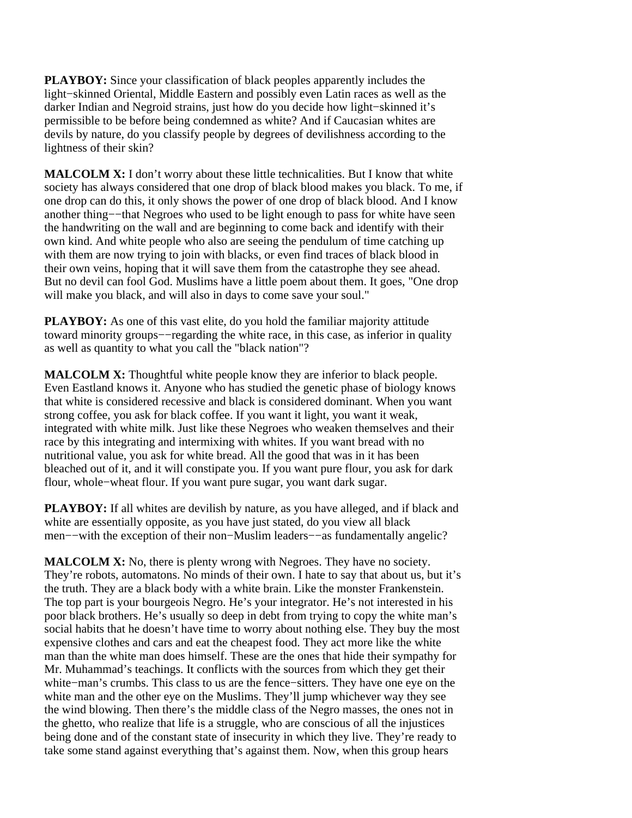**PLAYBOY:** Since your classification of black peoples apparently includes the light−skinned Oriental, Middle Eastern and possibly even Latin races as well as the darker Indian and Negroid strains, just how do you decide how light−skinned it's permissible to be before being condemned as white? And if Caucasian whites are devils by nature, do you classify people by degrees of devilishness according to the lightness of their skin?

**MALCOLM X:** I don't worry about these little technicalities. But I know that white society has always considered that one drop of black blood makes you black. To me, if one drop can do this, it only shows the power of one drop of black blood. And I know another thing−−that Negroes who used to be light enough to pass for white have seen the handwriting on the wall and are beginning to come back and identify with their own kind. And white people who also are seeing the pendulum of time catching up with them are now trying to join with blacks, or even find traces of black blood in their own veins, hoping that it will save them from the catastrophe they see ahead. But no devil can fool God. Muslims have a little poem about them. It goes, "One drop will make you black, and will also in days to come save your soul."

**PLAYBOY:** As one of this vast elite, do you hold the familiar majority attitude toward minority groups−−regarding the white race, in this case, as inferior in quality as well as quantity to what you call the "black nation"?

**MALCOLM X:** Thoughtful white people know they are inferior to black people. Even Eastland knows it. Anyone who has studied the genetic phase of biology knows that white is considered recessive and black is considered dominant. When you want strong coffee, you ask for black coffee. If you want it light, you want it weak, integrated with white milk. Just like these Negroes who weaken themselves and their race by this integrating and intermixing with whites. If you want bread with no nutritional value, you ask for white bread. All the good that was in it has been bleached out of it, and it will constipate you. If you want pure flour, you ask for dark flour, whole−wheat flour. If you want pure sugar, you want dark sugar.

**PLAYBOY:** If all whites are devilish by nature, as you have alleged, and if black and white are essentially opposite, as you have just stated, do you view all black men––with the exception of their non–Muslim leaders––as fundamentally angelic?

**MALCOLM X:** No, there is plenty wrong with Negroes. They have no society. They're robots, automatons. No minds of their own. I hate to say that about us, but it's the truth. They are a black body with a white brain. Like the monster Frankenstein. The top part is your bourgeois Negro. He's your integrator. He's not interested in his poor black brothers. He's usually so deep in debt from trying to copy the white man's social habits that he doesn't have time to worry about nothing else. They buy the most expensive clothes and cars and eat the cheapest food. They act more like the white man than the white man does himself. These are the ones that hide their sympathy for Mr. Muhammad's teachings. It conflicts with the sources from which they get their white−man's crumbs. This class to us are the fence−sitters. They have one eye on the white man and the other eye on the Muslims. They'll jump whichever way they see the wind blowing. Then there's the middle class of the Negro masses, the ones not in the ghetto, who realize that life is a struggle, who are conscious of all the injustices being done and of the constant state of insecurity in which they live. They're ready to take some stand against everything that's against them. Now, when this group hears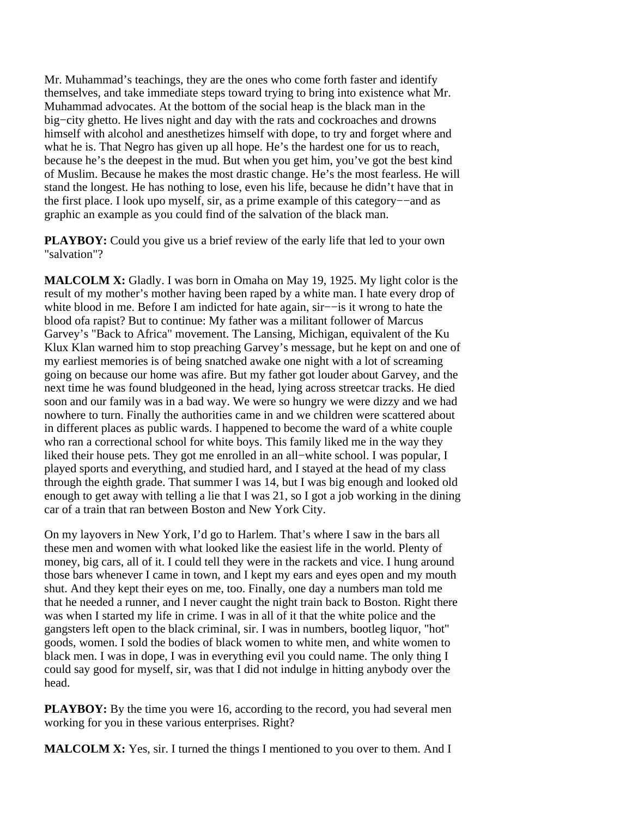Mr. Muhammad's teachings, they are the ones who come forth faster and identify themselves, and take immediate steps toward trying to bring into existence what Mr. Muhammad advocates. At the bottom of the social heap is the black man in the big−city ghetto. He lives night and day with the rats and cockroaches and drowns himself with alcohol and anesthetizes himself with dope, to try and forget where and what he is. That Negro has given up all hope. He's the hardest one for us to reach, because he's the deepest in the mud. But when you get him, you've got the best kind of Muslim. Because he makes the most drastic change. He's the most fearless. He will stand the longest. He has nothing to lose, even his life, because he didn't have that in the first place. I look upo myself, sir, as a prime example of this category−−and as graphic an example as you could find of the salvation of the black man.

**PLAYBOY:** Could you give us a brief review of the early life that led to your own "salvation"?

**MALCOLM X:** Gladly. I was born in Omaha on May 19, 1925. My light color is the result of my mother's mother having been raped by a white man. I hate every drop of white blood in me. Before I am indicted for hate again, sir−−is it wrong to hate the blood ofa rapist? But to continue: My father was a militant follower of Marcus Garvey's "Back to Africa" movement. The Lansing, Michigan, equivalent of the Ku Klux Klan warned him to stop preaching Garvey's message, but he kept on and one of my earliest memories is of being snatched awake one night with a lot of screaming going on because our home was afire. But my father got louder about Garvey, and the next time he was found bludgeoned in the head, lying across streetcar tracks. He died soon and our family was in a bad way. We were so hungry we were dizzy and we had nowhere to turn. Finally the authorities came in and we children were scattered about in different places as public wards. I happened to become the ward of a white couple who ran a correctional school for white boys. This family liked me in the way they liked their house pets. They got me enrolled in an all−white school. I was popular, I played sports and everything, and studied hard, and I stayed at the head of my class through the eighth grade. That summer I was 14, but I was big enough and looked old enough to get away with telling a lie that I was 21, so I got a job working in the dining car of a train that ran between Boston and New York City.

On my layovers in New York, I'd go to Harlem. That's where I saw in the bars all these men and women with what looked like the easiest life in the world. Plenty of money, big cars, all of it. I could tell they were in the rackets and vice. I hung around those bars whenever I came in town, and I kept my ears and eyes open and my mouth shut. And they kept their eyes on me, too. Finally, one day a numbers man told me that he needed a runner, and I never caught the night train back to Boston. Right there was when I started my life in crime. I was in all of it that the white police and the gangsters left open to the black criminal, sir. I was in numbers, bootleg liquor, "hot" goods, women. I sold the bodies of black women to white men, and white women to black men. I was in dope, I was in everything evil you could name. The only thing I could say good for myself, sir, was that I did not indulge in hitting anybody over the head.

**PLAYBOY:** By the time you were 16, according to the record, you had several men working for you in these various enterprises. Right?

**MALCOLM X:** Yes, sir. I turned the things I mentioned to you over to them. And I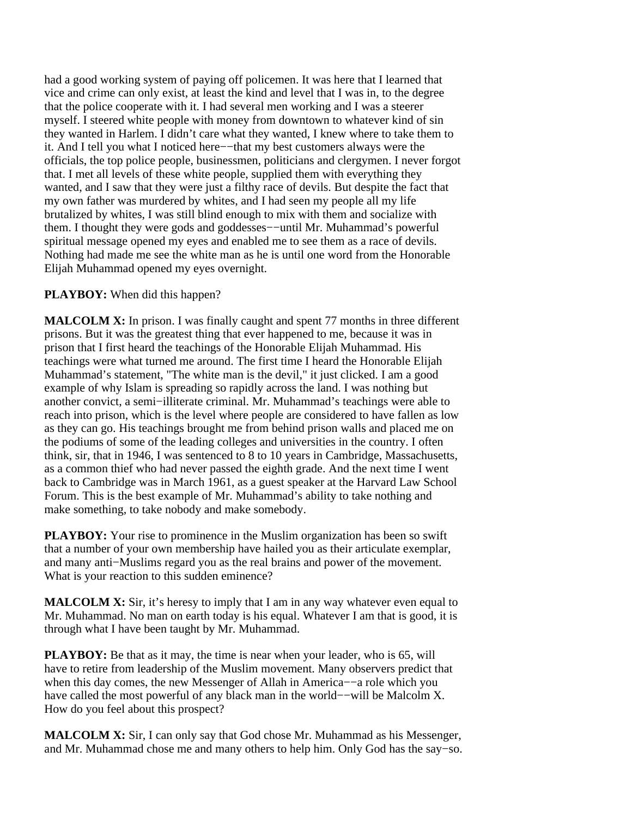had a good working system of paying off policemen. It was here that I learned that vice and crime can only exist, at least the kind and level that I was in, to the degree that the police cooperate with it. I had several men working and I was a steerer myself. I steered white people with money from downtown to whatever kind of sin they wanted in Harlem. I didn't care what they wanted, I knew where to take them to it. And I tell you what I noticed here−−that my best customers always were the officials, the top police people, businessmen, politicians and clergymen. I never forgot that. I met all levels of these white people, supplied them with everything they wanted, and I saw that they were just a filthy race of devils. But despite the fact that my own father was murdered by whites, and I had seen my people all my life brutalized by whites, I was still blind enough to mix with them and socialize with them. I thought they were gods and goddesses−−until Mr. Muhammad's powerful spiritual message opened my eyes and enabled me to see them as a race of devils. Nothing had made me see the white man as he is until one word from the Honorable Elijah Muhammad opened my eyes overnight.

## **PLAYBOY:** When did this happen?

**MALCOLM X:** In prison. I was finally caught and spent 77 months in three different prisons. But it was the greatest thing that ever happened to me, because it was in prison that I first heard the teachings of the Honorable Elijah Muhammad. His teachings were what turned me around. The first time I heard the Honorable Elijah Muhammad's statement, "The white man is the devil," it just clicked. I am a good example of why Islam is spreading so rapidly across the land. I was nothing but another convict, a semi−illiterate criminal. Mr. Muhammad's teachings were able to reach into prison, which is the level where people are considered to have fallen as low as they can go. His teachings brought me from behind prison walls and placed me on the podiums of some of the leading colleges and universities in the country. I often think, sir, that in 1946, I was sentenced to 8 to 10 years in Cambridge, Massachusetts, as a common thief who had never passed the eighth grade. And the next time I went back to Cambridge was in March 1961, as a guest speaker at the Harvard Law School Forum. This is the best example of Mr. Muhammad's ability to take nothing and make something, to take nobody and make somebody.

**PLAYBOY:** Your rise to prominence in the Muslim organization has been so swift that a number of your own membership have hailed you as their articulate exemplar, and many anti−Muslims regard you as the real brains and power of the movement. What is your reaction to this sudden eminence?

**MALCOLM X:** Sir, it's heresy to imply that I am in any way whatever even equal to Mr. Muhammad. No man on earth today is his equal. Whatever I am that is good, it is through what I have been taught by Mr. Muhammad.

**PLAYBOY:** Be that as it may, the time is near when your leader, who is 65, will have to retire from leadership of the Muslim movement. Many observers predict that when this day comes, the new Messenger of Allah in America−−a role which you have called the most powerful of any black man in the world−−will be Malcolm X. How do you feel about this prospect?

**MALCOLM X:** Sir, I can only say that God chose Mr. Muhammad as his Messenger, and Mr. Muhammad chose me and many others to help him. Only God has the say−so.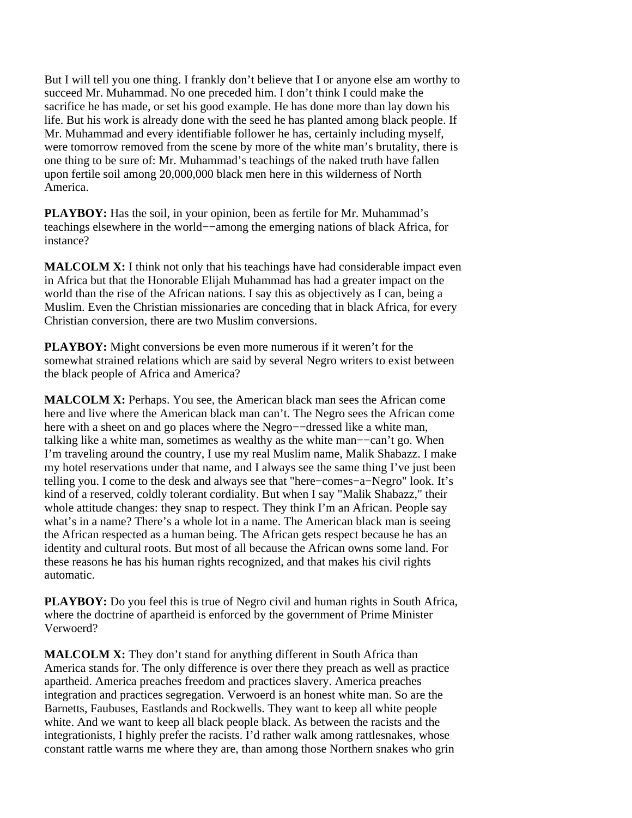But I will tell you one thing. I frankly don't believe that I or anyone else am worthy to succeed Mr. Muhammad. No one preceded him. I don't think I could make the sacrifice he has made, or set his good example. He has done more than lay down his life. But his work is already done with the seed he has planted among black people. If Mr. Muhammad and every identifiable follower he has, certainly including myself, were tomorrow removed from the scene by more of the white man's brutality, there is one thing to be sure of: Mr. Muhammad's teachings of the naked truth have fallen upon fertile soil among 20,000,000 black men here in this wilderness of North America.

**PLAYBOY:** Has the soil, in your opinion, been as fertile for Mr. Muhammad's teachings elsewhere in the world−−among the emerging nations of black Africa, for instance?

**MALCOLM X:** I think not only that his teachings have had considerable impact even in Africa but that the Honorable Elijah Muhammad has had a greater impact on the world than the rise of the African nations. I say this as objectively as I can, being a Muslim. Even the Christian missionaries are conceding that in black Africa, for every Christian conversion, there are two Muslim conversions.

**PLAYBOY:** Might conversions be even more numerous if it weren't for the somewhat strained relations which are said by several Negro writers to exist between the black people of Africa and America?

**MALCOLM X:** Perhaps. You see, the American black man sees the African come here and live where the American black man can't. The Negro sees the African come here with a sheet on and go places where the Negro–−dressed like a white man, talking like a white man, sometimes as wealthy as the white man−−can't go. When I'm traveling around the country, I use my real Muslim name, Malik Shabazz. I make my hotel reservations under that name, and I always see the same thing I've just been telling you. I come to the desk and always see that "here−comes−a−Negro" look. It's kind of a reserved, coldly tolerant cordiality. But when I say "Malik Shabazz," their whole attitude changes: they snap to respect. They think I'm an African. People say what's in a name? There's a whole lot in a name. The American black man is seeing the African respected as a human being. The African gets respect because he has an identity and cultural roots. But most of all because the African owns some land. For these reasons he has his human rights recognized, and that makes his civil rights automatic.

**PLAYBOY:** Do you feel this is true of Negro civil and human rights in South Africa, where the doctrine of apartheid is enforced by the government of Prime Minister Verwoerd?

**MALCOLM X:** They don't stand for anything different in South Africa than America stands for. The only difference is over there they preach as well as practice apartheid. America preaches freedom and practices slavery. America preaches integration and practices segregation. Verwoerd is an honest white man. So are the Barnetts, Faubuses, Eastlands and Rockwells. They want to keep all white people white. And we want to keep all black people black. As between the racists and the integrationists, I highly prefer the racists. I'd rather walk among rattlesnakes, whose constant rattle warns me where they are, than among those Northern snakes who grin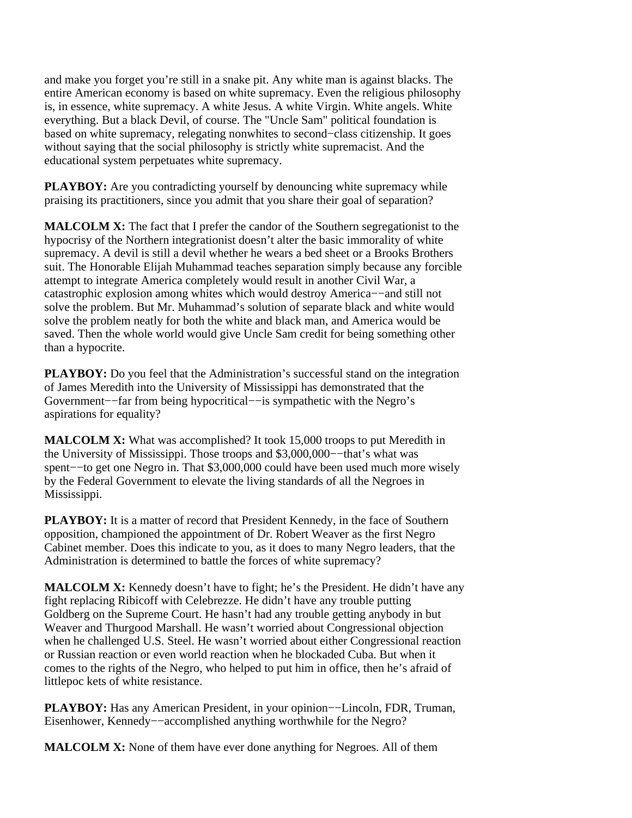and make you forget you're still in a snake pit. Any white man is against blacks. The entire American economy is based on white supremacy. Even the religious philosophy is, in essence, white supremacy. A white Jesus. A white Virgin. White angels. White everything. But a black Devil, of course. The "Uncle Sam" political foundation is based on white supremacy, relegating nonwhites to second−class citizenship. It goes without saying that the social philosophy is strictly white supremacist. And the educational system perpetuates white supremacy.

**PLAYBOY:** Are you contradicting yourself by denouncing white supremacy while praising its practitioners, since you admit that you share their goal of separation?

**MALCOLM X:** The fact that I prefer the candor of the Southern segregationist to the hypocrisy of the Northern integrationist doesn't alter the basic immorality of white supremacy. A devil is still a devil whether he wears a bed sheet or a Brooks Brothers suit. The Honorable Elijah Muhammad teaches separation simply because any forcible attempt to integrate America completely would result in another Civil War, a catastrophic explosion among whites which would destroy America−−and still not solve the problem. But Mr. Muhammad's solution of separate black and white would solve the problem neatly for both the white and black man, and America would be saved. Then the whole world would give Uncle Sam credit for being something other than a hypocrite.

**PLAYBOY:** Do you feel that the Administration's successful stand on the integration of James Meredith into the University of Mississippi has demonstrated that the Government−−far from being hypocritical−−is sympathetic with the Negro's aspirations for equality?

**MALCOLM X:** What was accomplished? It took 15,000 troops to put Meredith in the University of Mississippi. Those troops and \$3,000,000−−that's what was spent−−to get one Negro in. That \$3,000,000 could have been used much more wisely by the Federal Government to elevate the living standards of all the Negroes in Mississippi.

**PLAYBOY:** It is a matter of record that President Kennedy, in the face of Southern opposition, championed the appointment of Dr. Robert Weaver as the first Negro Cabinet member. Does this indicate to you, as it does to many Negro leaders, that the Administration is determined to battle the forces of white supremacy?

**MALCOLM X:** Kennedy doesn't have to fight; he's the President. He didn't have any fight replacing Ribicoff with Celebrezze. He didn't have any trouble putting Goldberg on the Supreme Court. He hasn't had any trouble getting anybody in but Weaver and Thurgood Marshall. He wasn't worried about Congressional objection when he challenged U.S. Steel. He wasn't worried about either Congressional reaction or Russian reaction or even world reaction when he blockaded Cuba. But when it comes to the rights of the Negro, who helped to put him in office, then he's afraid of littlepoc kets of white resistance.

**PLAYBOY:** Has any American President, in your opinion−−Lincoln, FDR, Truman, Eisenhower, Kennedy−−accomplished anything worthwhile for the Negro?

**MALCOLM X:** None of them have ever done anything for Negroes. All of them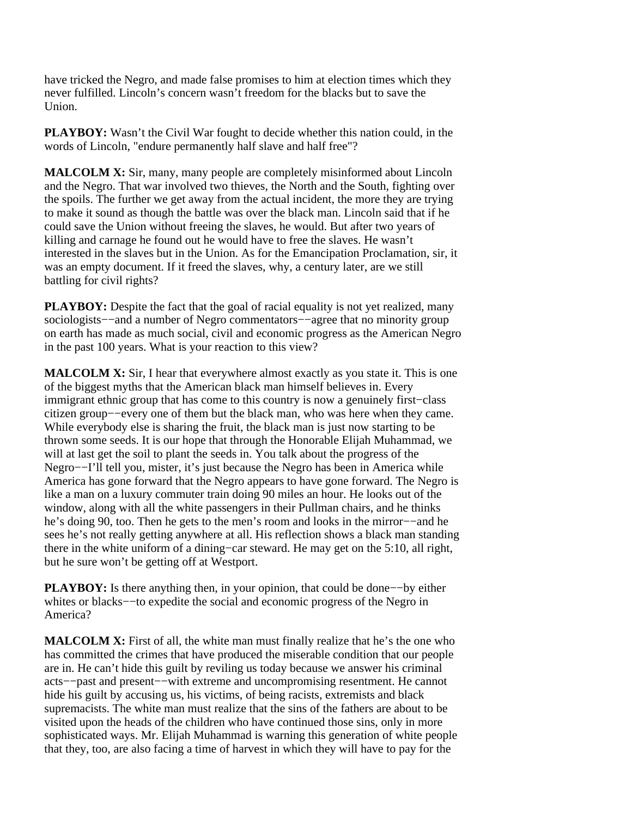have tricked the Negro, and made false promises to him at election times which they never fulfilled. Lincoln's concern wasn't freedom for the blacks but to save the Union.

**PLAYBOY:** Wasn't the Civil War fought to decide whether this nation could, in the words of Lincoln, "endure permanently half slave and half free"?

**MALCOLM X:** Sir, many, many people are completely misinformed about Lincoln and the Negro. That war involved two thieves, the North and the South, fighting over the spoils. The further we get away from the actual incident, the more they are trying to make it sound as though the battle was over the black man. Lincoln said that if he could save the Union without freeing the slaves, he would. But after two years of killing and carnage he found out he would have to free the slaves. He wasn't interested in the slaves but in the Union. As for the Emancipation Proclamation, sir, it was an empty document. If it freed the slaves, why, a century later, are we still battling for civil rights?

**PLAYBOY:** Despite the fact that the goal of racial equality is not yet realized, many sociologists––and a number of Negro commentators––agree that no minority group on earth has made as much social, civil and economic progress as the American Negro in the past 100 years. What is your reaction to this view?

**MALCOLM X:** Sir, I hear that everywhere almost exactly as you state it. This is one of the biggest myths that the American black man himself believes in. Every immigrant ethnic group that has come to this country is now a genuinely first−class citizen group−−every one of them but the black man, who was here when they came. While everybody else is sharing the fruit, the black man is just now starting to be thrown some seeds. It is our hope that through the Honorable Elijah Muhammad, we will at last get the soil to plant the seeds in. You talk about the progress of the Negro−−I'll tell you, mister, it's just because the Negro has been in America while America has gone forward that the Negro appears to have gone forward. The Negro is like a man on a luxury commuter train doing 90 miles an hour. He looks out of the window, along with all the white passengers in their Pullman chairs, and he thinks he's doing 90, too. Then he gets to the men's room and looks in the mirror−−and he sees he's not really getting anywhere at all. His reflection shows a black man standing there in the white uniform of a dining−car steward. He may get on the 5:10, all right, but he sure won't be getting off at Westport.

**PLAYBOY:** Is there anything then, in your opinion, that could be done–−by either whites or blacks−−to expedite the social and economic progress of the Negro in America?

**MALCOLM X:** First of all, the white man must finally realize that he's the one who has committed the crimes that have produced the miserable condition that our people are in. He can't hide this guilt by reviling us today because we answer his criminal acts−−past and present−−with extreme and uncompromising resentment. He cannot hide his guilt by accusing us, his victims, of being racists, extremists and black supremacists. The white man must realize that the sins of the fathers are about to be visited upon the heads of the children who have continued those sins, only in more sophisticated ways. Mr. Elijah Muhammad is warning this generation of white people that they, too, are also facing a time of harvest in which they will have to pay for the